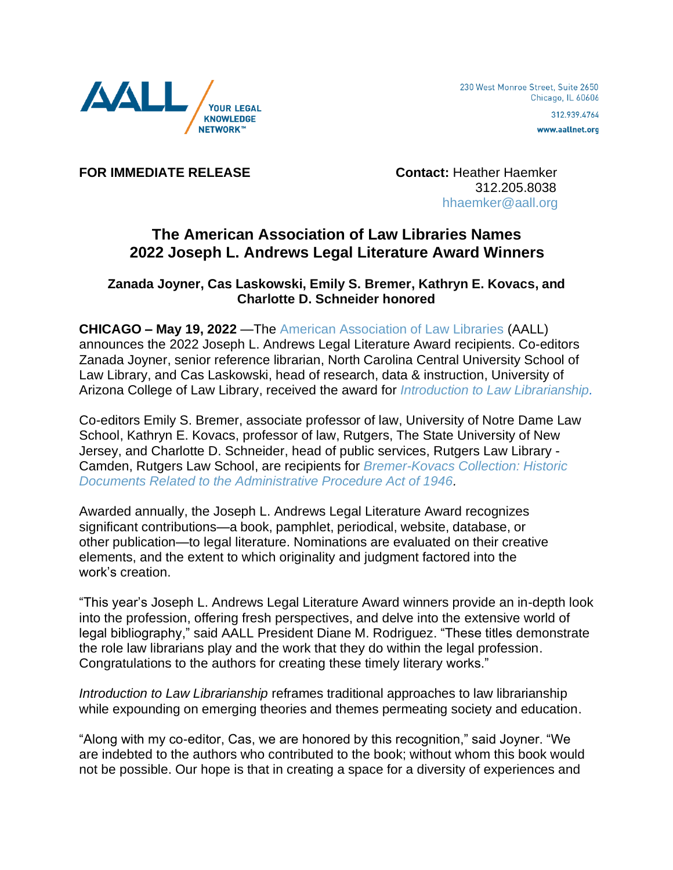

www.aallnet.org

**FOR IMMEDIATE RELEASE Contact:** Heather Haemker

 312.205.8038 [hhaemker@aall.org](mailto:hhaemker@aall.org)

## **The American Association of Law Libraries Names 2022 Joseph L. Andrews Legal Literature Award Winners**

## **Zanada Joyner, Cas Laskowski, Emily S. Bremer, Kathryn E. Kovacs, and Charlotte D. Schneider honored**

**CHICAGO – May 19, 2022** —The [American Association of Law Libraries](http://www.aallnet.org/) (AALL) announces the 2022 Joseph L. Andrews Legal Literature Award recipients. Co-editors Zanada Joyner, senior reference librarian, North Carolina Central University School of Law Library, and Cas Laskowski, head of research, data & instruction, University of Arizona College of Law Library, received the award for *[Introduction to Law Librarianship.](https://lawlibrarianship.pressbooks.com/)*

Co-editors Emily S. Bremer, associate professor of law, University of Notre Dame Law School, Kathryn E. Kovacs, professor of law, Rutgers, The State University of New Jersey, and Charlotte D. Schneider, head of public services, Rutgers Law Library - Camden, Rutgers Law School, are recipients for *[Bremer-Kovacs Collection: Historic](https://libguides.heinonline.org/bremer-kovacs)  [Documents Related to the Administrative Procedure Act of 1946.](https://libguides.heinonline.org/bremer-kovacs)*

Awarded annually, the Joseph L. Andrews Legal Literature Award recognizes significant contributions—a book, pamphlet, periodical, website, database, or other publication—to legal literature. Nominations are evaluated on their creative elements, and the extent to which originality and judgment factored into the work's creation.

"This year's Joseph L. Andrews Legal Literature Award winners provide an in-depth look into the profession, offering fresh perspectives, and delve into the extensive world of legal bibliography," said AALL President Diane M. Rodriguez. "These titles demonstrate the role law librarians play and the work that they do within the legal profession. Congratulations to the authors for creating these timely literary works."

*Introduction to Law Librarianship* reframes traditional approaches to law librarianship while expounding on emerging theories and themes permeating society and education.

"Along with my co-editor, Cas, we are honored by this recognition," said Joyner. "We are indebted to the authors who contributed to the book; without whom this book would not be possible. Our hope is that in creating a space for a diversity of experiences and